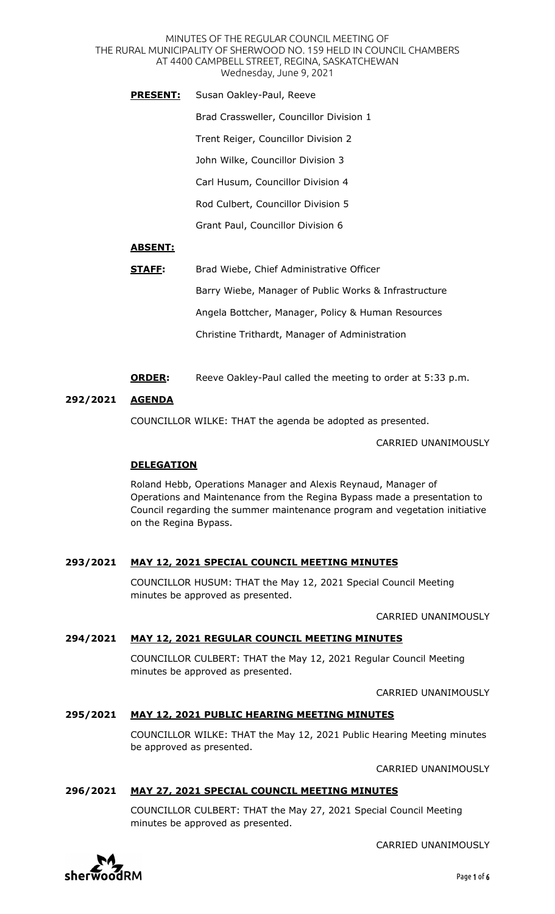MINUTES OF THE REGULAR COUNCIL MEETING OF THE RURAL MUNICIPALITY OF SHERWOOD NO. 159 HELD IN COUNCIL CHAMBERS AT 4400 CAMPBELL STREET, REGINA, SASKATCHEWAN Wednesday, June 9, 2021

**PRESENT:** Susan Oakley-Paul, Reeve Brad Crassweller, Councillor Division 1 Trent Reiger, Councillor Division 2 John Wilke, Councillor Division 3 Carl Husum, Councillor Division 4 Rod Culbert, Councillor Division 5 Grant Paul, Councillor Division 6

## **ABSENT:**

| STAFF: | Brad Wiebe, Chief Administrative Officer              |
|--------|-------------------------------------------------------|
|        | Barry Wiebe, Manager of Public Works & Infrastructure |
|        | Angela Bottcher, Manager, Policy & Human Resources    |
|        | Christine Trithardt, Manager of Administration        |

**ORDER:** Reeve Oakley-Paul called the meeting to order at 5:33 p.m.

#### **292/2021 AGENDA**

COUNCILLOR WILKE: THAT the agenda be adopted as presented.

CARRIED UNANIMOUSLY

## **DELEGATION**

Roland Hebb, Operations Manager and Alexis Reynaud, Manager of Operations and Maintenance from the Regina Bypass made a presentation to Council regarding the summer maintenance program and vegetation initiative on the Regina Bypass.

## **293/2021 MAY 12, 2021 SPECIAL COUNCIL MEETING MINUTES**

COUNCILLOR HUSUM: THAT the May 12, 2021 Special Council Meeting minutes be approved as presented.

CARRIED UNANIMOUSLY

#### **294/2021 MAY 12, 2021 REGULAR COUNCIL MEETING MINUTES**

COUNCILLOR CULBERT: THAT the May 12, 2021 Regular Council Meeting minutes be approved as presented.

CARRIED UNANIMOUSLY

## **295/2021 MAY 12, 2021 PUBLIC HEARING MEETING MINUTES**

COUNCILLOR WILKE: THAT the May 12, 2021 Public Hearing Meeting minutes be approved as presented.

CARRIED UNANIMOUSLY

#### **296/2021 MAY 27, 2021 SPECIAL COUNCIL MEETING MINUTES**

COUNCILLOR CULBERT: THAT the May 27, 2021 Special Council Meeting minutes be approved as presented.

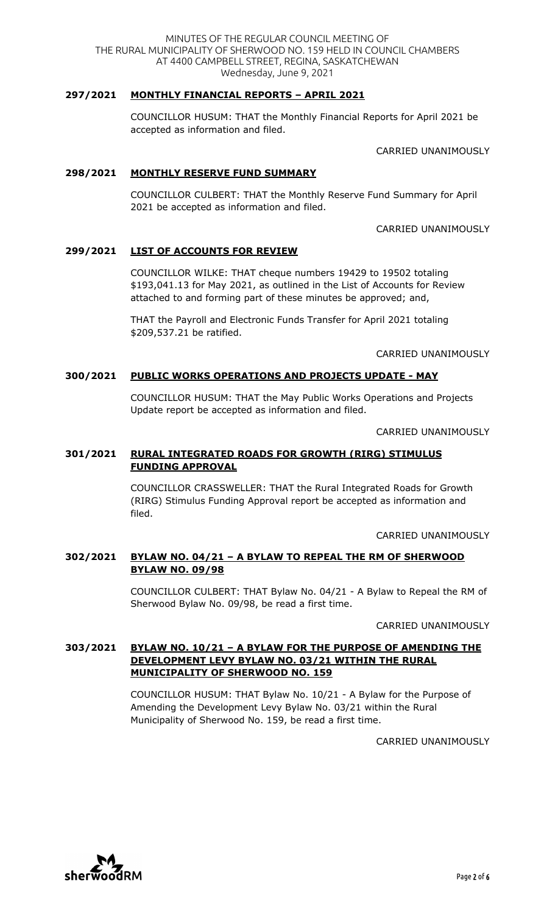## **297/2021 MONTHLY FINANCIAL REPORTS – APRIL 2021**

COUNCILLOR HUSUM: THAT the Monthly Financial Reports for April 2021 be accepted as information and filed.

CARRIED UNANIMOUSLY

#### **298/2021 MONTHLY RESERVE FUND SUMMARY**

COUNCILLOR CULBERT: THAT the Monthly Reserve Fund Summary for April 2021 be accepted as information and filed.

CARRIED UNANIMOUSLY

## **299/2021 LIST OF ACCOUNTS FOR REVIEW**

COUNCILLOR WILKE: THAT cheque numbers 19429 to 19502 totaling \$193,041.13 for May 2021, as outlined in the List of Accounts for Review attached to and forming part of these minutes be approved; and,

THAT the Payroll and Electronic Funds Transfer for April 2021 totaling \$209,537.21 be ratified.

CARRIED UNANIMOUSLY

## **300/2021 PUBLIC WORKS OPERATIONS AND PROJECTS UPDATE - MAY**

COUNCILLOR HUSUM: THAT the May Public Works Operations and Projects Update report be accepted as information and filed.

CARRIED UNANIMOUSLY

## **301/2021 RURAL INTEGRATED ROADS FOR GROWTH (RIRG) STIMULUS FUNDING APPROVAL**

COUNCILLOR CRASSWELLER: THAT the Rural Integrated Roads for Growth (RIRG) Stimulus Funding Approval report be accepted as information and filed.

CARRIED UNANIMOUSLY

## **302/2021 BYLAW NO. 04/21 – A BYLAW TO REPEAL THE RM OF SHERWOOD BYLAW NO. 09/98**

COUNCILLOR CULBERT: THAT Bylaw No. 04/21 - A Bylaw to Repeal the RM of Sherwood Bylaw No. 09/98, be read a first time.

CARRIED UNANIMOUSLY

## **303/2021 BYLAW NO. 10/21 – A BYLAW FOR THE PURPOSE OF AMENDING THE DEVELOPMENT LEVY BYLAW NO. 03/21 WITHIN THE RURAL MUNICIPALITY OF SHERWOOD NO. 159**

COUNCILLOR HUSUM: THAT Bylaw No. 10/21 - A Bylaw for the Purpose of Amending the Development Levy Bylaw No. 03/21 within the Rural Municipality of Sherwood No. 159, be read a first time.

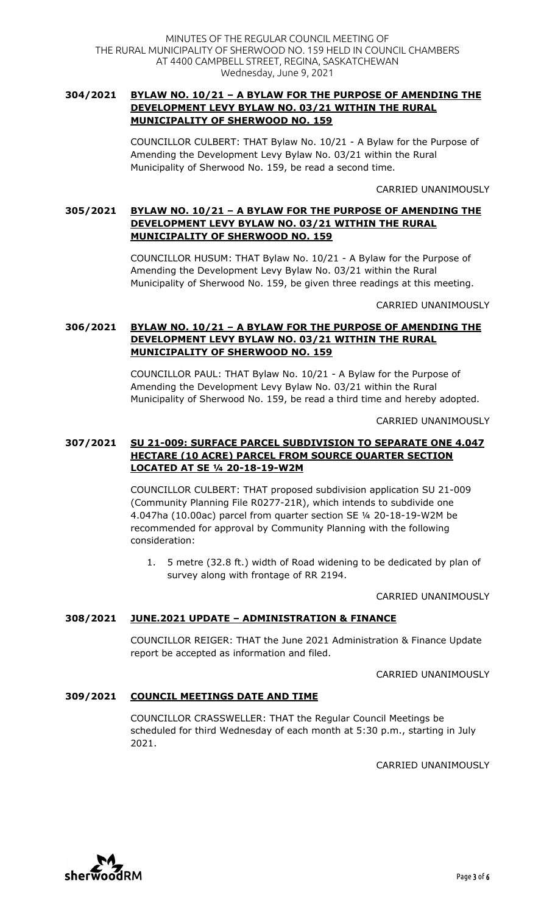## **304/2021 BYLAW NO. 10/21 – A BYLAW FOR THE PURPOSE OF AMENDING THE DEVELOPMENT LEVY BYLAW NO. 03/21 WITHIN THE RURAL MUNICIPALITY OF SHERWOOD NO. 159**

COUNCILLOR CULBERT: THAT Bylaw No. 10/21 - A Bylaw for the Purpose of Amending the Development Levy Bylaw No. 03/21 within the Rural Municipality of Sherwood No. 159, be read a second time.

CARRIED UNANIMOUSLY

# **305/2021 BYLAW NO. 10/21 – A BYLAW FOR THE PURPOSE OF AMENDING THE DEVELOPMENT LEVY BYLAW NO. 03/21 WITHIN THE RURAL MUNICIPALITY OF SHERWOOD NO. 159**

COUNCILLOR HUSUM: THAT Bylaw No. 10/21 - A Bylaw for the Purpose of Amending the Development Levy Bylaw No. 03/21 within the Rural Municipality of Sherwood No. 159, be given three readings at this meeting.

CARRIED UNANIMOUSLY

# **306/2021 BYLAW NO. 10/21 – A BYLAW FOR THE PURPOSE OF AMENDING THE DEVELOPMENT LEVY BYLAW NO. 03/21 WITHIN THE RURAL MUNICIPALITY OF SHERWOOD NO. 159**

COUNCILLOR PAUL: THAT Bylaw No. 10/21 - A Bylaw for the Purpose of Amending the Development Levy Bylaw No. 03/21 within the Rural Municipality of Sherwood No. 159, be read a third time and hereby adopted.

CARRIED UNANIMOUSLY

## **307/2021 SU 21-009: SURFACE PARCEL SUBDIVISION TO SEPARATE ONE 4.047 HECTARE (10 ACRE) PARCEL FROM SOURCE QUARTER SECTION LOCATED AT SE ¼ 20-18-19-W2M**

COUNCILLOR CULBERT: THAT proposed subdivision application SU 21-009 (Community Planning File R0277-21R), which intends to subdivide one 4.047ha (10.00ac) parcel from quarter section SE ¼ 20-18-19-W2M be recommended for approval by Community Planning with the following consideration:

1. 5 metre (32.8 ft.) width of Road widening to be dedicated by plan of survey along with frontage of RR 2194.

CARRIED UNANIMOUSLY

# **308/2021 JUNE.2021 UPDATE – ADMINISTRATION & FINANCE**

COUNCILLOR REIGER: THAT the June 2021 Administration & Finance Update report be accepted as information and filed.

CARRIED UNANIMOUSLY

## **309/2021 COUNCIL MEETINGS DATE AND TIME**

COUNCILLOR CRASSWELLER: THAT the Regular Council Meetings be scheduled for third Wednesday of each month at 5:30 p.m., starting in July 2021.

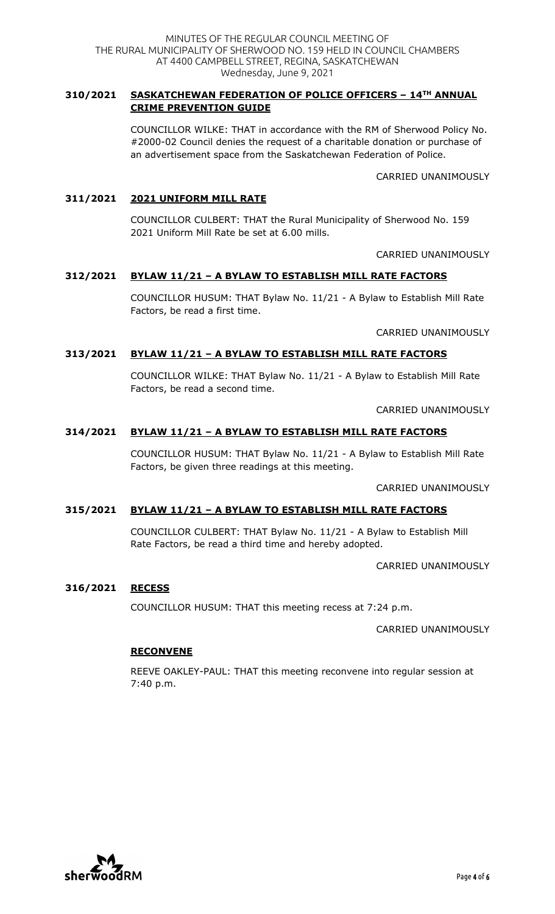## **310/2021 SASKATCHEWAN FEDERATION OF POLICE OFFICERS – 14TH ANNUAL CRIME PREVENTION GUIDE**

COUNCILLOR WILKE: THAT in accordance with the RM of Sherwood Policy No. #2000-02 Council denies the request of a charitable donation or purchase of an advertisement space from the Saskatchewan Federation of Police.

CARRIED UNANIMOUSLY

## **311/2021 2021 UNIFORM MILL RATE**

COUNCILLOR CULBERT: THAT the Rural Municipality of Sherwood No. 159 2021 Uniform Mill Rate be set at 6.00 mills.

CARRIED UNANIMOUSLY

# **312/2021 BYLAW 11/21 – A BYLAW TO ESTABLISH MILL RATE FACTORS**

COUNCILLOR HUSUM: THAT Bylaw No. 11/21 - A Bylaw to Establish Mill Rate Factors, be read a first time.

CARRIED UNANIMOUSLY

## **313/2021 BYLAW 11/21 – A BYLAW TO ESTABLISH MILL RATE FACTORS**

COUNCILLOR WILKE: THAT Bylaw No. 11/21 - A Bylaw to Establish Mill Rate Factors, be read a second time.

CARRIED UNANIMOUSLY

# **314/2021 BYLAW 11/21 – A BYLAW TO ESTABLISH MILL RATE FACTORS**

COUNCILLOR HUSUM: THAT Bylaw No. 11/21 - A Bylaw to Establish Mill Rate Factors, be given three readings at this meeting.

CARRIED UNANIMOUSLY

## **315/2021 BYLAW 11/21 – A BYLAW TO ESTABLISH MILL RATE FACTORS**

COUNCILLOR CULBERT: THAT Bylaw No. 11/21 - A Bylaw to Establish Mill Rate Factors, be read a third time and hereby adopted.

CARRIED UNANIMOUSLY

#### **316/2021 RECESS**

COUNCILLOR HUSUM: THAT this meeting recess at 7:24 p.m.

CARRIED UNANIMOUSLY

## **RECONVENE**

REEVE OAKLEY-PAUL: THAT this meeting reconvene into regular session at 7:40 p.m.

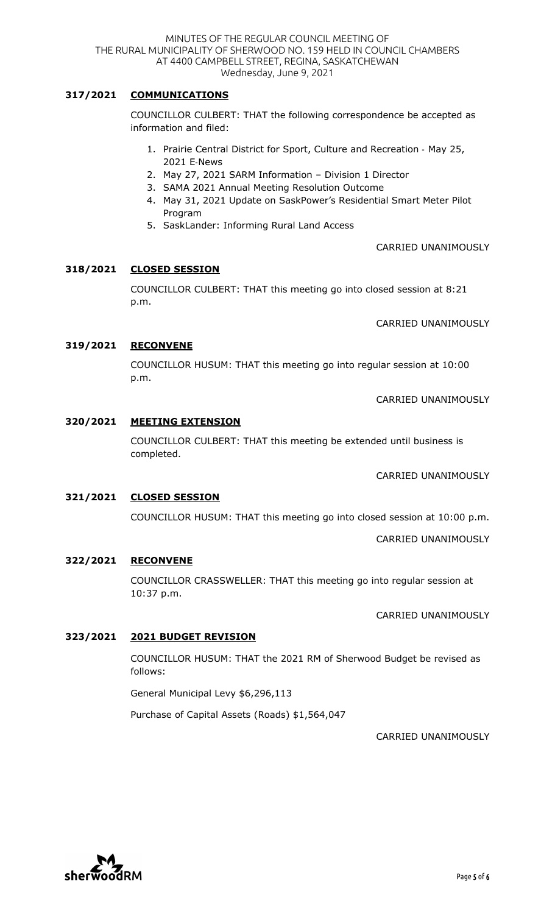# **317/2021 COMMUNICATIONS**

COUNCILLOR CULBERT: THAT the following correspondence be accepted as information and filed:

- 1. Prairie Central District for Sport, Culture and Recreation May 25, 2021 E-News
- 2. May 27, 2021 SARM Information Division 1 Director
- 3. SAMA 2021 Annual Meeting Resolution Outcome
- 4. May 31, 2021 Update on SaskPower's Residential Smart Meter Pilot Program
- 5. SaskLander: Informing Rural Land Access

#### CARRIED UNANIMOUSLY

#### **318/2021 CLOSED SESSION**

COUNCILLOR CULBERT: THAT this meeting go into closed session at 8:21 p.m.

CARRIED UNANIMOUSLY

#### **319/2021 RECONVENE**

COUNCILLOR HUSUM: THAT this meeting go into regular session at 10:00 p.m.

CARRIED UNANIMOUSLY

#### **320/2021 MEETING EXTENSION**

COUNCILLOR CULBERT: THAT this meeting be extended until business is completed.

CARRIED UNANIMOUSLY

#### **321/2021 CLOSED SESSION**

COUNCILLOR HUSUM: THAT this meeting go into closed session at 10:00 p.m.

CARRIED UNANIMOUSLY

#### **322/2021 RECONVENE**

COUNCILLOR CRASSWELLER: THAT this meeting go into regular session at 10:37 p.m.

CARRIED UNANIMOUSLY

#### **323/2021 2021 BUDGET REVISION**

COUNCILLOR HUSUM: THAT the 2021 RM of Sherwood Budget be revised as follows:

General Municipal Levy \$6,296,113

Purchase of Capital Assets (Roads) \$1,564,047